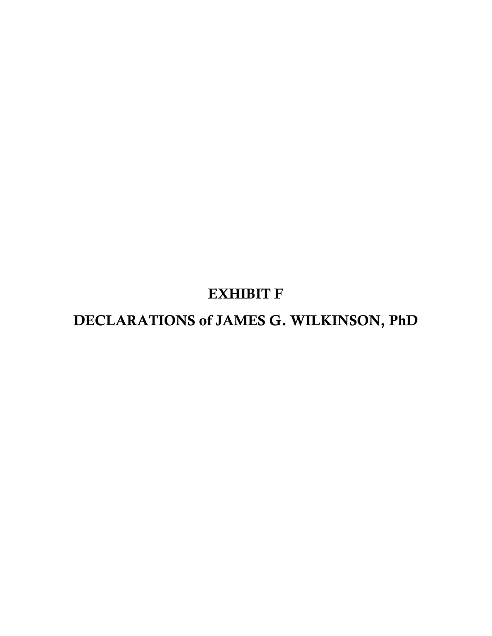## EXHIBIT F

# DECLARATIONS of JAMES G. WILKINSON, PhD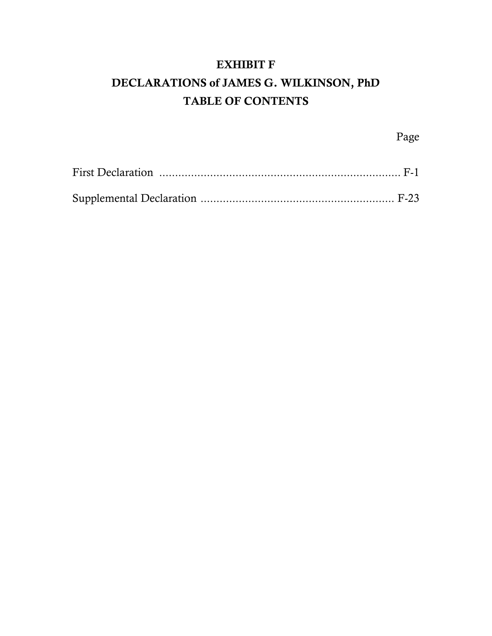### EXHIBIT F DECLARATIONS of JAMES G. WILKINSON, PhD TABLE OF CONTENTS

Page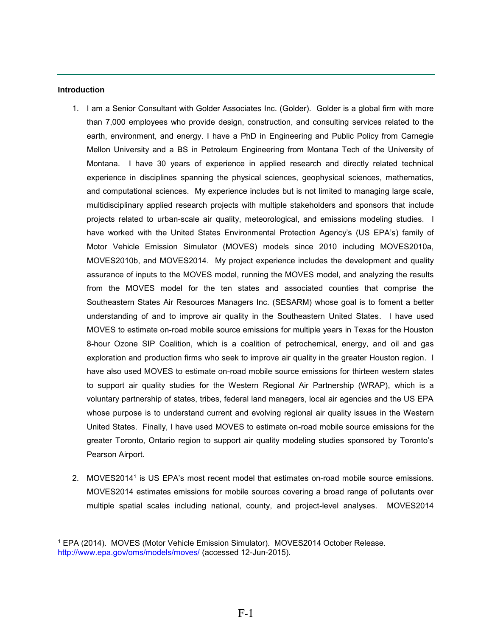#### <span id="page-2-0"></span>**Introduction**

- 1. I am a Senior Consultant with Golder Associates Inc. (Golder). Golder is a global firm with more than 7,000 employees who provide design, construction, and consulting services related to the earth, environment, and energy. I have a PhD in Engineering and Public Policy from Carnegie Mellon University and a BS in Petroleum Engineering from Montana Tech of the University of Montana. I have 30 years of experience in applied research and directly related technical experience in disciplines spanning the physical sciences, geophysical sciences, mathematics, and computational sciences. My experience includes but is not limited to managing large scale, multidisciplinary applied research projects with multiple stakeholders and sponsors that include projects related to urban-scale air quality, meteorological, and emissions modeling studies. I have worked with the United States Environmental Protection Agency's (US EPA's) family of Motor Vehicle Emission Simulator (MOVES) models since 2010 including MOVES2010a, MOVES2010b, and MOVES2014. My project experience includes the development and quality assurance of inputs to the MOVES model, running the MOVES model, and analyzing the results from the MOVES model for the ten states and associated counties that comprise the Southeastern States Air Resources Managers Inc. (SESARM) whose goal is to foment a better understanding of and to improve air quality in the Southeastern United States. I have used MOVES to estimate on-road mobile source emissions for multiple years in Texas for the Houston 8-hour Ozone SIP Coalition, which is a coalition of petrochemical, energy, and oil and gas exploration and production firms who seek to improve air quality in the greater Houston region. I have also used MOVES to estimate on-road mobile source emissions for thirteen western states to support air quality studies for the Western Regional Air Partnership (WRAP), which is a voluntary partnership of states, tribes, federal land managers, local air agencies and the US EPA whose purpose is to understand current and evolving regional air quality issues in the Western United States. Finally, I have used MOVES to estimate on-road mobile source emissions for the greater Toronto, Ontario region to support air quality modeling studies sponsored by Toronto's Pearson Airport.
- 2. MOVES2014<sup>1</sup> is US EPA's most recent model that estimates on-road mobile source emissions. MOVES2014 estimates emissions for mobile sources covering a broad range of pollutants over multiple spatial scales including national, county, and project-level analyses. MOVES2014

<sup>1</sup> EPA (2014). MOVES (Motor Vehicle Emission Simulator). MOVES2014 October Release. <http://www.epa.gov/oms/models/moves/>(accessed 12-Jun-2015).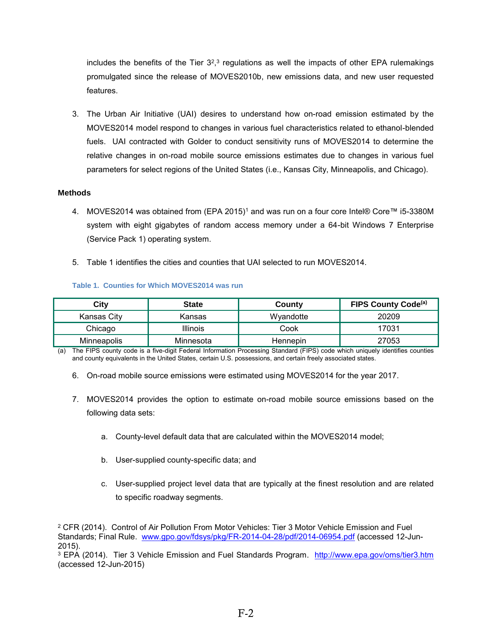includes the benefits of the Tier  $3^{2,3}$  regulations as well the impacts of other EPA rulemakings promulgated since the release of MOVES2010b, new emissions data, and new user requested features.

3. The Urban Air Initiative (UAI) desires to understand how on-road emission estimated by the MOVES2014 model respond to changes in various fuel characteristics related to ethanol-blended fuels. UAI contracted with Golder to conduct sensitivity runs of MOVES2014 to determine the relative changes in on-road mobile source emissions estimates due to changes in various fuel parameters for select regions of the United States (i.e., Kansas City, Minneapolis, and Chicago).

#### **Methods**

- 4. MOVES2014 was obtained from (EPA 2015)<sup>1</sup> and was run on a four core Intel® Core™ i5-3380M system with eight gigabytes of random access memory under a 64-bit Windows 7 Enterprise (Service Pack 1) operating system.
- 5. Table 1 identifies the cities and counties that UAI selected to run MOVES2014.

#### **Table 1. Counties for Which MOVES2014 was run**

| City               | <b>State</b>    | County    | <b>FIPS County Code</b> <sup>(a)</sup> |
|--------------------|-----------------|-----------|----------------------------------------|
| Kansas City        | Kansas          | Wyandotte | 20209                                  |
| Chicago            | <b>Illinois</b> | Cook      | 17031                                  |
| <b>Minneapolis</b> | Minnesota       | Hennepin  | 27053                                  |

(a) The FIPS county code is a five-digit Federal Information Processing Standard (FIPS) code which uniquely identifies counties and county equivalents in the United States, certain U.S. possessions, and certain freely associated states.

- 6. On-road mobile source emissions were estimated using MOVES2014 for the year 2017.
- 7. MOVES2014 provides the option to estimate on-road mobile source emissions based on the following data sets:
	- a. County-level default data that are calculated within the MOVES2014 model;
	- b. User-supplied county-specific data; and
	- c. User-supplied project level data that are typically at the finest resolution and are related to specific roadway segments.

<sup>2</sup> CFR (2014). Control of Air Pollution From Motor Vehicles: Tier 3 Motor Vehicle Emission and Fuel Standards; Final Rule. [www.gpo.gov/fdsys/pkg/FR-2014-04-28/pdf/2014-06954.pdf](http://www.gpo.gov/fdsys/pkg/FR-2014-04-28/pdf/2014-06954.pdf) (accessed 12-Jun-2015).

<sup>3</sup> EPA (2014). Tier 3 Vehicle Emission and Fuel Standards Program. <http://www.epa.gov/oms/tier3.htm> (accessed 12-Jun-2015)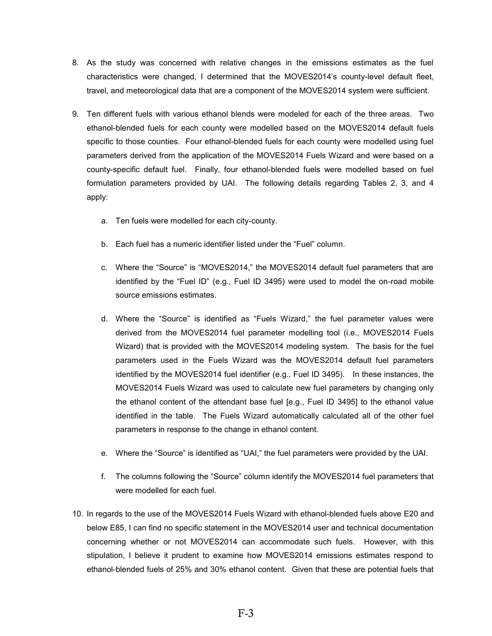- 8. As the study was concerned with relative changes in the emissions estimates as the fuel characteristics were changed, I determined that the MOVES2014's county-level default fleet, travel, and meteorological data that are a component of the MOVES2014 system were sufficient.
- 9. Ten different fuels with various ethanol blends were modeled for each of the three areas. Two ethanol-blended fuels for each county were modelled based on the MOVES2014 default fuels specific to those counties. Four ethanol-blended fuels for each county were modelled using fuel parameters derived from the application of the MOVES2014 Fuels Wizard and were based on a county-specific default fuel. Finally, four ethanol-blended fuels were modelled based on fuel formulation parameters provided by UAI. The following details regarding Tables 2, 3, and 4 apply:
	- a. Ten fuels were modelled for each city-county.
	- b. Each fuel has a numeric identifier listed under the "Fuel" column.
	- c. Where the "Source" is "MOVES2014," the MOVES2014 default fuel parameters that are identified by the "Fuel ID" (e.g., Fuel ID 3495) were used to model the on-road mobile source emissions estimates.
	- d. Where the "Source" is identified as "Fuels Wizard," the fuel parameter values were derived from the MOVES2014 fuel parameter modelling tool (i.e., MOVES2014 Fuels Wizard) that is provided with the MOVES2014 modeling system. The basis for the fuel parameters used in the Fuels Wizard was the MOVES2014 default fuel parameters identified by the MOVES2014 fuel identifier (e.g., Fuel ID 3495). In these instances, the MOVES2014 Fuels Wizard was used to calculate new fuel parameters by changing only the ethanol content of the attendant base fuel [e.g., Fuel ID 3495] to the ethanol value identified in the table. The Fuels Wizard automatically calculated all of the other fuel parameters in response to the change in ethanol content.
	- e. Where the "Source" is identified as "UAI," the fuel parameters were provided by the UAI.
	- f. The columns following the "Source" column identify the MOVES2014 fuel parameters that were modelled for each fuel.
- 10. In regards to the use of the MOVES2014 Fuels Wizard with ethanol-blended fuels above E20 and below E85, I can find no specific statement in the MOVES2014 user and technical documentation concerning whether or not MOVES2014 can accommodate such fuels. However, with this stipulation, I believe it prudent to examine how MOVES2014 emissions estimates respond to ethanol-blended fuels of 25% and 30% ethanol content. Given that these are potential fuels that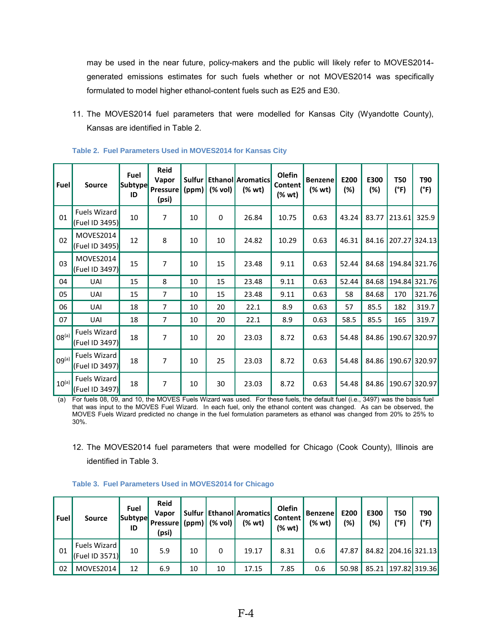may be used in the near future, policy-makers and the public will likely refer to MOVES2014 generated emissions estimates for such fuels whether or not MOVES2014 was specifically formulated to model higher ethanol-content fuels such as E25 and E30.

11. The MOVES2014 fuel parameters that were modelled for Kansas City (Wyandotte County), Kansas are identified in Table 2.

| Fuel              | <b>Source</b>                         | Fuel<br><b>Subtype</b><br>ID | Reid<br>Vapor<br><b>Pressure</b><br>(psi) | Sulfur<br>(ppm) | (% vol)   | <b>Ethanol Aromatics</b><br>(% wt) | Olefin<br>Content<br>(% wt) | <b>Benzene</b><br>(% wt) | E200<br>(%) | E300<br>$(\%)$ | <b>T50</b><br>(°F) | T90<br>(°F)   |
|-------------------|---------------------------------------|------------------------------|-------------------------------------------|-----------------|-----------|------------------------------------|-----------------------------|--------------------------|-------------|----------------|--------------------|---------------|
| 01                | <b>Fuels Wizard</b><br>(Fuel ID 3495) | 10                           | 7                                         | 10              | $\pmb{0}$ | 26.84                              | 10.75                       | 0.63                     | 43.24       | 83.77          | 213.61             | 325.9         |
| 02                | MOVES2014<br>(Fuel ID 3495)           | 12                           | 8                                         | 10              | 10        | 24.82                              | 10.29                       | 0.63                     | 46.31       | 84.16          | 207.27             | 324.13        |
| 03                | MOVES2014<br>(Fuel ID 3497)           | 15                           | $\overline{7}$                            | 10              | 15        | 23.48                              | 9.11                        | 0.63                     | 52.44       | 84.68          |                    | 194.84 321.76 |
| 04                | UAI                                   | 15                           | 8                                         | 10              | 15        | 23.48                              | 9.11                        | 0.63                     | 52.44       | 84.68          |                    | 194.84 321.76 |
| 05                | UAI                                   | 15                           | 7                                         | 10              | 15        | 23.48                              | 9.11                        | 0.63                     | 58          | 84.68          | 170                | 321.76        |
| 06                | UAI                                   | 18                           | 7                                         | 10              | 20        | 22.1                               | 8.9                         | 0.63                     | 57          | 85.5           | 182                | 319.7         |
| 07                | UAI                                   | 18                           | 7                                         | 10              | 20        | 22.1                               | 8.9                         | 0.63                     | 58.5        | 85.5           | 165                | 319.7         |
| $08^{(a)}$        | Fuels Wizard<br>(Fuel ID 3497)        | 18                           | $\overline{7}$                            | 10              | 20        | 23.03                              | 8.72                        | 0.63                     | 54.48       | 84.86          | 190.67             | 320.97        |
| 09 <sup>(a)</sup> | <b>Fuels Wizard</b><br>(Fuel ID 3497) | 18                           | 7                                         | 10              | 25        | 23.03                              | 8.72                        | 0.63                     | 54.48       | 84.86          | 190.67             | 320.97        |
| $10^{(a)}$        | Fuels Wizard<br>(Fuel ID 3497)        | 18                           | 7                                         | 10              | 30        | 23.03                              | 8.72                        | 0.63                     | 54.48       | 84.86          | 190.67             | 320.97        |

|  |  |  |  |  | Table 2. Fuel Parameters Used in MOVES2014 for Kansas City |  |  |  |
|--|--|--|--|--|------------------------------------------------------------|--|--|--|
|--|--|--|--|--|------------------------------------------------------------|--|--|--|

(a) For fuels 08, 09, and 10, the MOVES Fuels Wizard was used. For these fuels, the default fuel (i.e., 3497) was the basis fuel that was input to the MOVES Fuel Wizard. In each fuel, only the ethanol content was changed. As can be observed, the MOVES Fuels Wizard predicted no change in the fuel formulation parameters as ethanol was changed from 20% to 25% to 30%.

12. The MOVES2014 fuel parameters that were modelled for Chicago (Cook County), Illinois are identified in Table 3.

| Fuel | <b>Source</b>                             | Fuel<br><b>Subtype</b><br>ID | <b>Reid</b><br>Vapor<br><b>Pressure</b><br>(psi) | (ppm) | (% vol) | Sulfur   Ethanol   Aromatics  <br>$(% \mathbf{w}^{\prime }\mathbf{w})$ | Olefin<br>Content<br>(% wt) | <b><i>i</i></b> Benzene'<br>(% wt) | E200<br>(%) | E300<br>(%) | T50<br>(°F) | T90<br>(°F)         |
|------|-------------------------------------------|------------------------------|--------------------------------------------------|-------|---------|------------------------------------------------------------------------|-----------------------------|------------------------------------|-------------|-------------|-------------|---------------------|
| 01   | <b>Fuels Wizard</b><br>$ $ (Fuel ID 3571) | 10                           | 5.9                                              | 10    | 0       | 19.17                                                                  | 8.31                        | 0.6                                | 47.87       |             |             | 84.82 204.16 321.13 |
| 02   | MOVES2014                                 | 12                           | 6.9                                              | 10    | 10      | 17.15                                                                  | 7.85                        | 0.6                                | 50.98       | 85.21       |             | 197.82 319.36       |

#### **Table 3. Fuel Parameters Used in MOVES2014 for Chicago**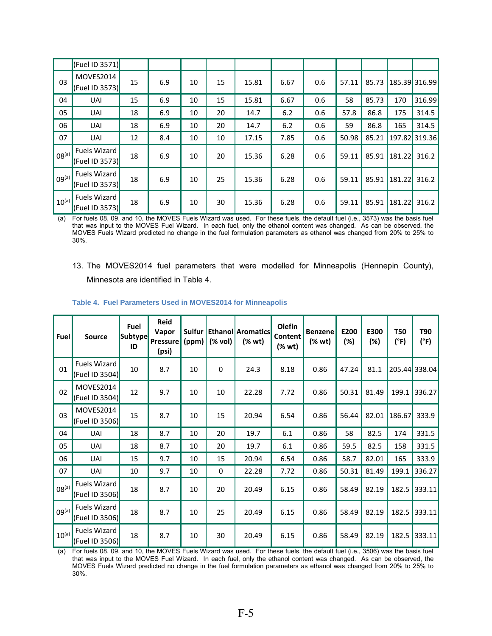|                   | (Fuel ID 3571)                                 |    |     |    |    |       |      |     |       |       |        |               |
|-------------------|------------------------------------------------|----|-----|----|----|-------|------|-----|-------|-------|--------|---------------|
| 03                | MOVES2014<br>(Fuel ID 3573)                    | 15 | 6.9 | 10 | 15 | 15.81 | 6.67 | 0.6 | 57.11 | 85.73 |        | 185.39 316.99 |
| 04                | <b>UAI</b>                                     | 15 | 6.9 | 10 | 15 | 15.81 | 6.67 | 0.6 | 58    | 85.73 | 170    | 316.99        |
| 05                | <b>UAI</b>                                     | 18 | 6.9 | 10 | 20 | 14.7  | 6.2  | 0.6 | 57.8  | 86.8  | 175    | 314.5         |
| 06                | <b>UAI</b>                                     | 18 | 6.9 | 10 | 20 | 14.7  | 6.2  | 0.6 | 59    | 86.8  | 165    | 314.5         |
| 07                | UAI                                            | 12 | 8.4 | 10 | 10 | 17.15 | 7.85 | 0.6 | 50.98 | 85.21 | 197.82 | 319.36        |
| 08 <sup>(a)</sup> | Fuels Wizard<br>(Fuel ID 3573)                 | 18 | 6.9 | 10 | 20 | 15.36 | 6.28 | 0.6 | 59.11 | 85.91 | 181.22 | 316.2         |
| 09 <sup>(a)</sup> | <b>Fuels Wizard</b><br>$ $ (Fuel ID 3573)      | 18 | 6.9 | 10 | 25 | 15.36 | 6.28 | 0.6 | 59.11 | 85.91 | 181.22 | 316.2         |
| $10^{(a)}$        | Fuels Wizard<br>$\vert$ (Fuel ID 3573) $\vert$ | 18 | 6.9 | 10 | 30 | 15.36 | 6.28 | 0.6 | 59.11 | 85.91 | 181.22 | 316.2         |

(a) For fuels 08, 09, and 10, the MOVES Fuels Wizard was used. For these fuels, the default fuel (i.e., 3573) was the basis fuel that was input to the MOVES Fuel Wizard. In each fuel, only the ethanol content was changed. As can be observed, the MOVES Fuels Wizard predicted no change in the fuel formulation parameters as ethanol was changed from 20% to 25% to 30%.

13. The MOVES2014 fuel parameters that were modelled for Minneapolis (Hennepin County), Minnesota are identified in Table 4.

| <b>Fuel</b>       | <b>Source</b>                         | Fuel<br><b>Subtype</b><br>ID | <b>Reid</b><br>Vapor<br>Pressure<br>(psi) | Sulfur<br>(ppm) | (% vol)   | <b>Ethanol Aromatics</b><br>(% wt) | <b>Olefin</b><br>Content<br>(% wt) | <b>Benzene</b><br>(% wt) | E200<br>(%) | E300<br>(%) | <b>T50</b><br>(°F) | T90<br>(°F)   |
|-------------------|---------------------------------------|------------------------------|-------------------------------------------|-----------------|-----------|------------------------------------|------------------------------------|--------------------------|-------------|-------------|--------------------|---------------|
| 01                | <b>Fuels Wizard</b><br>(Fuel ID 3504) | 10                           | 8.7                                       | 10              | $\pmb{0}$ | 24.3                               | 8.18                               | 0.86                     | 47.24       | 81.1        |                    | 205.44 338.04 |
| 02                | MOVES2014<br>(Fuel ID 3504)           | 12                           | 9.7                                       | 10              | 10        | 22.28                              | 7.72                               | 0.86                     | 50.31       | 81.49       | 199.1              | 336.27        |
| 03                | MOVES2014<br>(Fuel ID 3506)           | 15                           | 8.7                                       | 10              | 15        | 20.94                              | 6.54                               | 0.86                     | 56.44       | 82.01       | 186.67             | 333.9         |
| 04                | UAI                                   | 18                           | 8.7                                       | 10              | 20        | 19.7                               | 6.1                                | 0.86                     | 58          | 82.5        | 174                | 331.5         |
| 05                | UAI                                   | 18                           | 8.7                                       | 10              | 20        | 19.7                               | 6.1                                | 0.86                     | 59.5        | 82.5        | 158                | 331.5         |
| 06                | UAI                                   | 15                           | 9.7                                       | 10              | 15        | 20.94                              | 6.54                               | 0.86                     | 58.7        | 82.01       | 165                | 333.9         |
| 07                | <b>UAI</b>                            | 10                           | 9.7                                       | 10              | 0         | 22.28                              | 7.72                               | 0.86                     | 50.31       | 81.49       | 199.1              | 336.27        |
| $08^{(a)}$        | Fuels Wizard<br>(Fuel ID 3506)        | 18                           | 8.7                                       | 10              | 20        | 20.49                              | 6.15                               | 0.86                     | 58.49       | 82.19       | 182.5              | 333.11        |
| 09 <sup>(a)</sup> | Fuels Wizard<br>(Fuel ID 3506)        | 18                           | 8.7                                       | 10              | 25        | 20.49                              | 6.15                               | 0.86                     | 58.49       | 82.19       | 182.5              | 333.11        |
| 10 <sup>(a)</sup> | Fuels Wizard<br>(Fuel ID 3506)        | 18                           | 8.7                                       | 10              | 30        | 20.49                              | 6.15                               | 0.86                     | 58.49       | 82.19       | 182.5              | 333.11        |

#### **Table 4. Fuel Parameters Used in MOVES2014 for Minneapolis**

(a) For fuels 08, 09, and 10, the MOVES Fuels Wizard was used. For these fuels, the default fuel (i.e., 3506) was the basis fuel that was input to the MOVES Fuel Wizard. In each fuel, only the ethanol content was changed. As can be observed, the MOVES Fuels Wizard predicted no change in the fuel formulation parameters as ethanol was changed from 20% to 25% to 30%.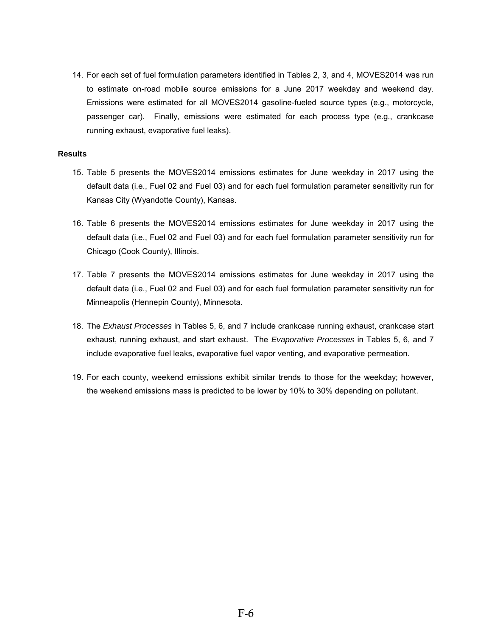14. For each set of fuel formulation parameters identified in Tables 2, 3, and 4, MOVES2014 was run to estimate on-road mobile source emissions for a June 2017 weekday and weekend day. Emissions were estimated for all MOVES2014 gasoline-fueled source types (e.g., motorcycle, passenger car). Finally, emissions were estimated for each process type (e.g., crankcase running exhaust, evaporative fuel leaks).

#### **Results**

- 15. Table 5 presents the MOVES2014 emissions estimates for June weekday in 2017 using the default data (i.e., Fuel 02 and Fuel 03) and for each fuel formulation parameter sensitivity run for Kansas City (Wyandotte County), Kansas.
- 16. Table 6 presents the MOVES2014 emissions estimates for June weekday in 2017 using the default data (i.e., Fuel 02 and Fuel 03) and for each fuel formulation parameter sensitivity run for Chicago (Cook County), Illinois.
- 17. Table 7 presents the MOVES2014 emissions estimates for June weekday in 2017 using the default data (i.e., Fuel 02 and Fuel 03) and for each fuel formulation parameter sensitivity run for Minneapolis (Hennepin County), Minnesota.
- 18. The *Exhaust Processes* in Tables 5, 6, and 7 include crankcase running exhaust, crankcase start exhaust, running exhaust, and start exhaust. The *Evaporative Processes* in Tables 5, 6, and 7 include evaporative fuel leaks, evaporative fuel vapor venting, and evaporative permeation.
- 19. For each county, weekend emissions exhibit similar trends to those for the weekday; however, the weekend emissions mass is predicted to be lower by 10% to 30% depending on pollutant.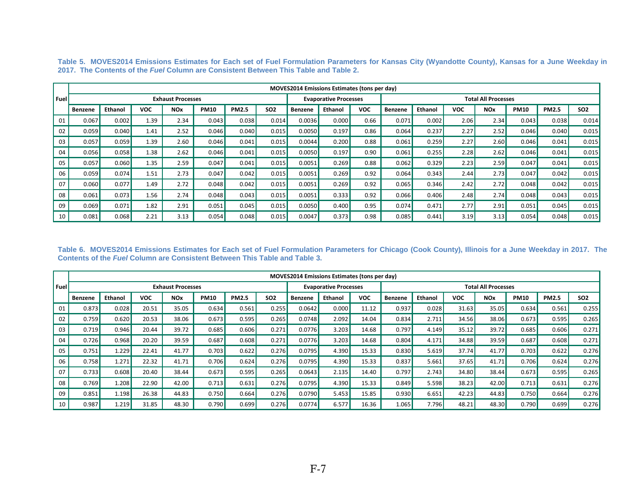|      |                |         |            |                          |             |              |                 |         | <b>MOVES2014 Emissions Estimates (tons per day)</b> |            |                            |         |            |                       |             |              |            |
|------|----------------|---------|------------|--------------------------|-------------|--------------|-----------------|---------|-----------------------------------------------------|------------|----------------------------|---------|------------|-----------------------|-------------|--------------|------------|
| Fuel |                |         |            | <b>Exhaust Processes</b> |             |              |                 |         | <b>Evaporative Processes</b>                        |            | <b>Total All Processes</b> |         |            |                       |             |              |            |
|      | <b>Benzene</b> | Ethanol | <b>VOC</b> | <b>NO<sub>x</sub></b>    | <b>PM10</b> | <b>PM2.5</b> | SO <sub>2</sub> | Benzene | <b>Ethanol</b>                                      | <b>VOC</b> | <b>Benzene</b>             | Ethanol | <b>VOC</b> | <b>NO<sub>x</sub></b> | <b>PM10</b> | <b>PM2.5</b> | <b>SO2</b> |
| 01   | 0.067          | 0.002   | 1.39       | 2.34                     | 0.043       | 0.038        | 0.014           | 0.0036  | 0.000                                               | 0.66       | 0.071                      | 0.002   | 2.06       | 2.34                  | 0.043       | 0.038        | 0.014      |
| 02   | 0.059          | 0.040   | 1.41       | 2.52                     | 0.046       | 0.040        | 0.015           | 0.0050  | 0.197                                               | 0.86       | 0.064                      | 0.237   | 2.27       | 2.52                  | 0.046       | 0.040        | 0.015      |
| 03   | 0.057          | 0.059   | 1.39       | 2.60                     | 0.046       | 0.041        | 0.015           | 0.0044  | 0.200                                               | 0.88       | 0.061                      | 0.259   | 2.27       | 2.60                  | 0.046       | 0.041        | 0.015      |
| 04   | 0.056          | 0.058   | 1.38       | 2.62                     | 0.046       | 0.041        | 0.015           | 0.0050  | 0.197                                               | 0.90       | 0.061                      | 0.255   | 2.28       | 2.62                  | 0.046       | 0.041        | 0.015      |
| 05   | 0.057          | 0.060   | 1.35       | 2.59                     | 0.047       | 0.041        | 0.015           | 0.0051  | 0.269                                               | 0.88       | 0.062                      | 0.329   | 2.23       | 2.59                  | 0.047       | 0.041        | 0.015      |
| 06   | 0.059          | 0.074   | 1.51       | 2.73                     | 0.047       | 0.042        | 0.015           | 0.0051  | 0.269                                               | 0.92       | 0.064                      | 0.343   | 2.44       | 2.73                  | 0.047       | 0.042        | 0.015      |
| 07   | 0.060          | 0.077   | 1.49       | 2.72                     | 0.048       | 0.042        | 0.015           | 0.0051  | 0.269                                               | 0.92       | 0.065                      | 0.346   | 2.42       | 2.72                  | 0.048       | 0.042        | 0.015      |
| 08   | 0.061          | 0.073   | 1.56       | 2.74                     | 0.048       | 0.043        | 0.015           | 0.0051  | 0.333                                               | 0.92       | 0.066                      | 0.406   | 2.48       | 2.74                  | 0.048       | 0.043        | 0.015      |
| 09   | 0.069          | 0.071   | 1.82       | 2.91                     | 0.051       | 0.045        | 0.015           | 0.0050  | 0.400                                               | 0.95       | 0.074                      | 0.471   | 2.77       | 2.91                  | 0.051       | 0.045        | 0.015      |
| 10   | 0.081          | 0.068   | 2.21       | 3.13                     | 0.054       | 0.048        | 0.015           | 0.0047  | 0.373                                               | 0.98       | 0.085                      | 0.441   | 3.19       | 3.13                  | 0.054       | 0.048        | 0.015      |

**Table 5. MOVES2014 Emissions Estimates for Each set of Fuel Formulation Parameters for Kansas City (Wyandotte County), Kansas for a June Weekday in 2017. The Contents of the** *Fuel* **Column are Consistent Between This Table and Table 2.** 

**Table 6. MOVES2014 Emissions Estimates for Each set of Fuel Formulation Parameters for Chicago (Cook County), Illinois for a June Weekday in 2017. The Contents of the** *Fuel* **Column are Consistent Between This Table and Table 3.**

|          |                |         |            |                          |             |              |            |                | <b>MOVES2014 Emissions Estimates (tons per day)</b> |            |                            |                |       |                       |             |              |            |
|----------|----------------|---------|------------|--------------------------|-------------|--------------|------------|----------------|-----------------------------------------------------|------------|----------------------------|----------------|-------|-----------------------|-------------|--------------|------------|
| l Fuel l |                |         |            | <b>Exhaust Processes</b> |             |              |            |                | <b>Evaporative Processes</b>                        |            | <b>Total All Processes</b> |                |       |                       |             |              |            |
|          | <b>Benzene</b> | Ethanol | <b>VOC</b> | <b>NO<sub>x</sub></b>    | <b>PM10</b> | <b>PM2.5</b> | <b>SO2</b> | <b>Benzene</b> | <b>Ethanol</b>                                      | <b>VOC</b> | <b>Benzene</b>             | <b>Ethanol</b> | voc   | <b>NO<sub>x</sub></b> | <b>PM10</b> | <b>PM2.5</b> | <b>SO2</b> |
| 01       | 0.873          | 0.028   | 20.51      | 35.05                    | 0.634       | 0.561        | 0.255      | 0.0642         | 0.000                                               | 11.12      | 0.937                      | 0.028          | 31.63 | 35.05                 | 0.634       | 0.561        | 0.255      |
| 02       | 0.759          | 0.620   | 20.53      | 38.06                    | 0.673       | 0.595        | 0.265      | 0.0748         | 2.092                                               | 14.04      | 0.834                      | 2.711          | 34.56 | 38.06                 | 0.673       | 0.595        | 0.265      |
| 03       | 0.719          | 0.946   | 20.44      | 39.72                    | 0.685       | 0.606        | 0.271      | 0.0776         | 3.203                                               | 14.68      | 0.797                      | 4.149          | 35.12 | 39.72                 | 0.685       | 0.606        | 0.271      |
| 04       | 0.726          | 0.968   | 20.20      | 39.59                    | 0.687       | 0.608        | 0.271      | 0.0776         | 3.203                                               | 14.68      | 0.804                      | 4.171          | 34.88 | 39.59                 | 0.687       | 0.608        | 0.271      |
| 05       | 0.751          | 1.229   | 22.41      | 41.77                    | 0.703       | 0.622        | 0.276      | 0.0795         | 4.390                                               | 15.33      | 0.830                      | 5.619          | 37.74 | 41.77                 | 0.703       | 0.622        | 0.276      |
| 06       | 0.758          | 1.271   | 22.32      | 41.71                    | 0.706       | 0.624        | 0.276      | 0.0795         | 4.390                                               | 15.33      | 0.837                      | 5.661          | 37.65 | 41.71                 | 0.706       | 0.624        | 0.276      |
| 07       | 0.733          | 0.608   | 20.40      | 38.44                    | 0.673       | 0.595        | 0.265      | 0.0643         | 2.135                                               | 14.40      | 0.797                      | 2.743          | 34.80 | 38.44                 | 0.673       | 0.595        | 0.265      |
| 08       | 0.769          | 1.208   | 22.90      | 42.00                    | 0.713       | 0.631        | 0.276      | 0.0795         | 4.390                                               | 15.33      | 0.849                      | 5.598          | 38.23 | 42.00                 | 0.713       | 0.631        | 0.276      |
| 09       | 0.851          | 1.198   | 26.38      | 44.83                    | 0.750       | 0.664        | 0.276      | 0.0790         | 5.453                                               | 15.85      | 0.930                      | 6.651          | 42.23 | 44.83                 | 0.750       | 0.664        | 0.276      |
| 10       | 0.987          | 1.219   | 31.85      | 48.30                    | 0.790       | 0.699        | 0.276      | 0.0774         | 6.577                                               | 16.36      | 1.065                      | 7.796          | 48.21 | 48.30                 | 0.790       | 0.699        | 0.276      |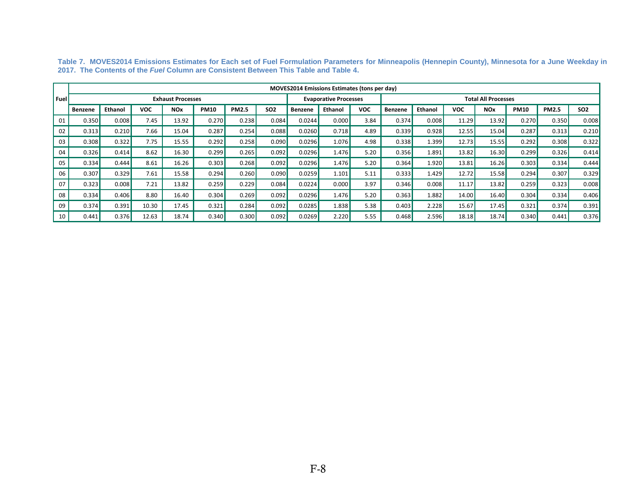|       |         |         |            |                          |             |              |            |         | <b>MOVES2014 Emissions Estimates (tons per day)</b> |            |         |                |            |                            |             |              |                 |
|-------|---------|---------|------------|--------------------------|-------------|--------------|------------|---------|-----------------------------------------------------|------------|---------|----------------|------------|----------------------------|-------------|--------------|-----------------|
| Fuell |         |         |            | <b>Exhaust Processes</b> |             |              |            |         | <b>Evaporative Processes</b>                        |            |         |                |            | <b>Total All Processes</b> |             |              |                 |
|       | Benzene | Ethanol | <b>VOC</b> | <b>NO<sub>x</sub></b>    | <b>PM10</b> | <b>PM2.5</b> | <b>SO2</b> | Benzene | <b>Ethanol</b>                                      | <b>VOC</b> | Benzene | <b>Ethanol</b> | <b>VOC</b> | <b>NO<sub>x</sub></b>      | <b>PM10</b> | <b>PM2.5</b> | SO <sub>2</sub> |
| 01    | 0.350   | 0.008   | 7.45       | 13.92                    | 0.270       | 0.238        | 0.084      | 0.0244  | 0.000                                               | 3.84       | 0.374   | 0.008          | 11.29      | 13.92                      | 0.270       | 0.350        | 0.008           |
| 02    | 0.313   | 0.210   | 7.66       | 15.04                    | 0.287       | 0.254        | 0.088      | 0.0260  | 0.718                                               | 4.89       | 0.339   | 0.928          | 12.55      | 15.04                      | 0.287       | 0.313        | 0.210           |
| 03    | 0.308   | 0.322   | 7.75       | 15.55                    | 0.292       | 0.258        | 0.090      | 0.0296  | 1.076                                               | 4.98       | 0.338   | 1.399          | 12.73      | 15.55                      | 0.292       | 0.308        | 0.322           |
| 04    | 0.326   | 0.414   | 8.62       | 16.30                    | 0.299       | 0.265        | 0.092      | 0.0296  | 1.476                                               | 5.20       | 0.356   | 1.891          | 13.82      | 16.30                      | 0.299       | 0.326        | 0.414           |
| 05    | 0.334   | 0.444   | 8.61       | 16.26                    | 0.303       | 0.268        | 0.092      | 0.0296  | 1.476                                               | 5.20       | 0.364   | 1.920          | 13.81      | 16.26                      | 0.303       | 0.334        | 0.444           |
| 06    | 0.307   | 0.329   | 7.61       | 15.58                    | 0.294       | 0.260        | 0.090      | 0.0259  | 1.101                                               | 5.11       | 0.333   | 1.429          | 12.72      | 15.58                      | 0.294       | 0.307        | 0.329           |
| 07    | 0.323   | 0.008   | 7.21       | 13.82                    | 0.259       | 0.229        | 0.084      | 0.0224  | 0.000                                               | 3.97       | 0.346   | 0.008          | 11.17      | 13.82                      | 0.259       | 0.323        | 0.008           |
| 08    | 0.334   | 0.406   | 8.80       | 16.40                    | 0.304       | 0.269        | 0.092      | 0.0296  | 1.476                                               | 5.20       | 0.363   | 1.882          | 14.00      | 16.40                      | 0.304       | 0.334        | 0.406           |
| 09    | 0.374   | 0.391   | 10.30      | 17.45                    | 0.321       | 0.284        | 0.092      | 0.0285  | 1.838                                               | 5.38       | 0.403   | 2.228          | 15.67      | 17.45                      | 0.321       | 0.374        | 0.391           |
| 10    | 0.441   | 0.376   | 12.63      | 18.74                    | 0.340       | 0.300        | 0.092      | 0.0269  | 2.220                                               | 5.55       | 0.468   | 2.596          | 18.18      | 18.74                      | 0.340       | 0.441        | 0.376           |

**Table 7. MOVES2014 Emissions Estimates for Each set of Fuel Formulation Parameters for Minneapolis (Hennepin County), Minnesota for a June Weekday in 2017. The Contents of the** *Fuel* **Column are Consistent Between This Table and Table 4.**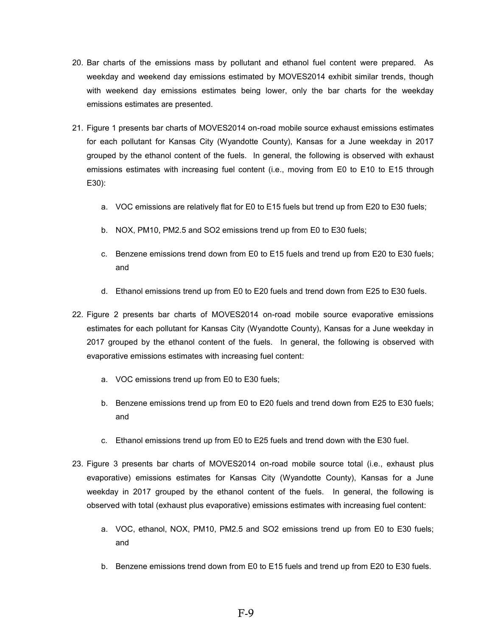- 20. Bar charts of the emissions mass by pollutant and ethanol fuel content were prepared. As weekday and weekend day emissions estimated by MOVES2014 exhibit similar trends, though with weekend day emissions estimates being lower, only the bar charts for the weekday emissions estimates are presented.
- 21. Figure 1 presents bar charts of MOVES2014 on-road mobile source exhaust emissions estimates for each pollutant for Kansas City (Wyandotte County), Kansas for a June weekday in 2017 grouped by the ethanol content of the fuels. In general, the following is observed with exhaust emissions estimates with increasing fuel content (i.e., moving from E0 to E10 to E15 through E30):
	- a. VOC emissions are relatively flat for E0 to E15 fuels but trend up from E20 to E30 fuels;
	- b. NOX, PM10, PM2.5 and SO2 emissions trend up from E0 to E30 fuels;
	- c. Benzene emissions trend down from E0 to E15 fuels and trend up from E20 to E30 fuels; and
	- d. Ethanol emissions trend up from E0 to E20 fuels and trend down from E25 to E30 fuels.
- 22. Figure 2 presents bar charts of MOVES2014 on-road mobile source evaporative emissions estimates for each pollutant for Kansas City (Wyandotte County), Kansas for a June weekday in 2017 grouped by the ethanol content of the fuels. In general, the following is observed with evaporative emissions estimates with increasing fuel content:
	- a. VOC emissions trend up from E0 to E30 fuels;
	- b. Benzene emissions trend up from E0 to E20 fuels and trend down from E25 to E30 fuels; and
	- c. Ethanol emissions trend up from E0 to E25 fuels and trend down with the E30 fuel.
- 23. Figure 3 presents bar charts of MOVES2014 on-road mobile source total (i.e., exhaust plus evaporative) emissions estimates for Kansas City (Wyandotte County), Kansas for a June weekday in 2017 grouped by the ethanol content of the fuels. In general, the following is observed with total (exhaust plus evaporative) emissions estimates with increasing fuel content:
	- a. VOC, ethanol, NOX, PM10, PM2.5 and SO2 emissions trend up from E0 to E30 fuels; and
	- b. Benzene emissions trend down from E0 to E15 fuels and trend up from E20 to E30 fuels.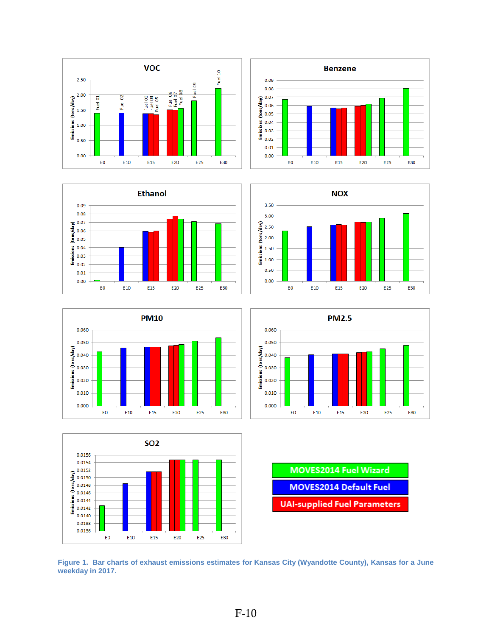













**MOVES2014 Fuel Wizard MOVES2014 Default Fuel UAI-supplied Fuel Parameters** 

**Figure 1. Bar charts of exhaust emissions estimates for Kansas City (Wyandotte County), Kansas for a June weekday in 2017.**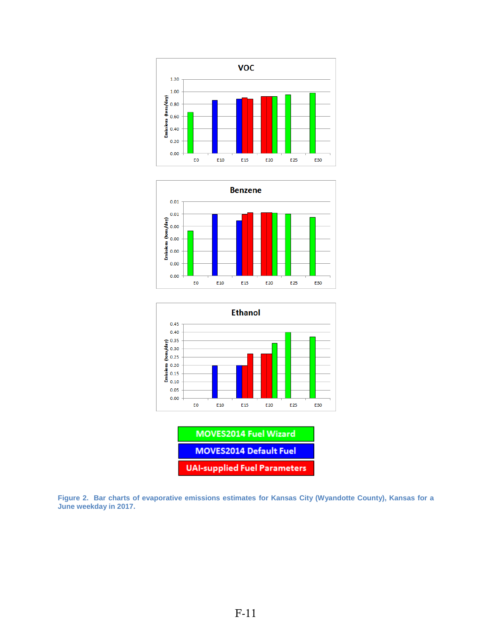





| <b>MOVES2014 Default Fuel</b>       |
|-------------------------------------|
| <b>UAI-supplied Fuel Parameters</b> |

**Figure 2. Bar charts of evaporative emissions estimates for Kansas City (Wyandotte County), Kansas for a June weekday in 2017.**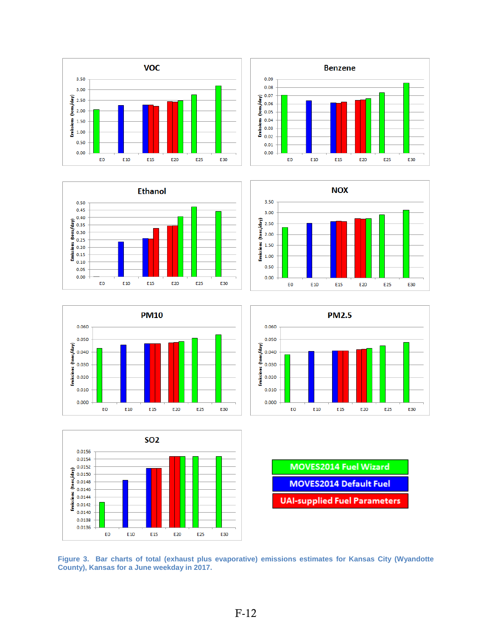













| <b>MOVES2014 Fuel Wizard</b>        |
|-------------------------------------|
| <b>MOVES2014 Default Fuel</b>       |
| <b>UAI-supplied Fuel Parameters</b> |

**Figure 3. Bar charts of total (exhaust plus evaporative) emissions estimates for Kansas City (Wyandotte County), Kansas for a June weekday in 2017.**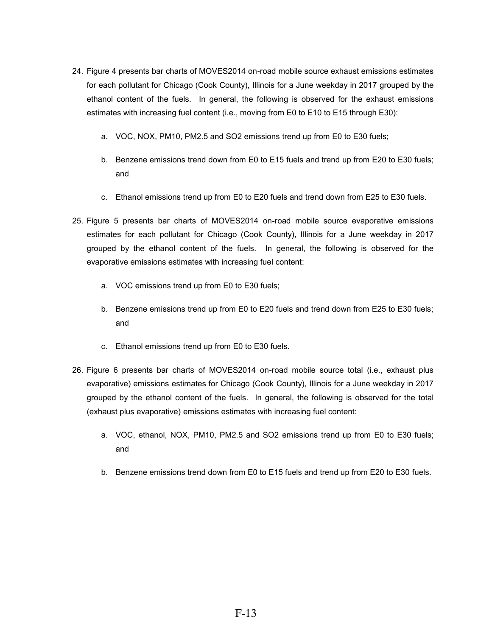- 24. Figure 4 presents bar charts of MOVES2014 on-road mobile source exhaust emissions estimates for each pollutant for Chicago (Cook County), Illinois for a June weekday in 2017 grouped by the ethanol content of the fuels. In general, the following is observed for the exhaust emissions estimates with increasing fuel content (i.e., moving from E0 to E10 to E15 through E30):
	- a. VOC, NOX, PM10, PM2.5 and SO2 emissions trend up from E0 to E30 fuels;
	- b. Benzene emissions trend down from E0 to E15 fuels and trend up from E20 to E30 fuels; and
	- c. Ethanol emissions trend up from E0 to E20 fuels and trend down from E25 to E30 fuels.
- 25. Figure 5 presents bar charts of MOVES2014 on-road mobile source evaporative emissions estimates for each pollutant for Chicago (Cook County), Illinois for a June weekday in 2017 grouped by the ethanol content of the fuels. In general, the following is observed for the evaporative emissions estimates with increasing fuel content:
	- a. VOC emissions trend up from E0 to E30 fuels;
	- b. Benzene emissions trend up from E0 to E20 fuels and trend down from E25 to E30 fuels; and
	- c. Ethanol emissions trend up from E0 to E30 fuels.
- 26. Figure 6 presents bar charts of MOVES2014 on-road mobile source total (i.e., exhaust plus evaporative) emissions estimates for Chicago (Cook County), Illinois for a June weekday in 2017 grouped by the ethanol content of the fuels. In general, the following is observed for the total (exhaust plus evaporative) emissions estimates with increasing fuel content:
	- a. VOC, ethanol, NOX, PM10, PM2.5 and SO2 emissions trend up from E0 to E30 fuels; and
	- b. Benzene emissions trend down from E0 to E15 fuels and trend up from E20 to E30 fuels.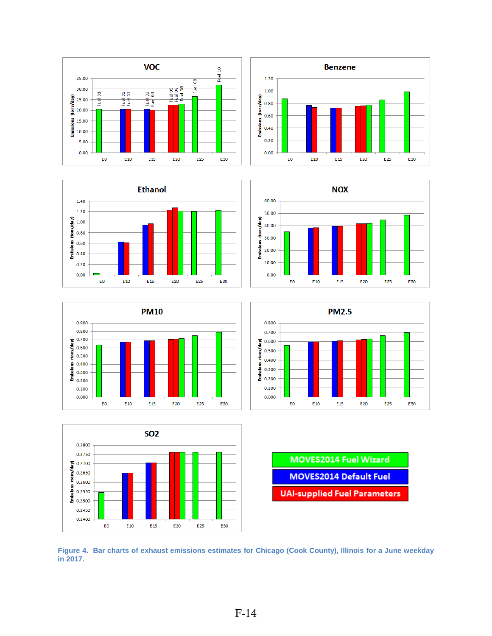















**Figure 4. Bar charts of exhaust emissions estimates for Chicago (Cook County), Illinois for a June weekday in 2017.**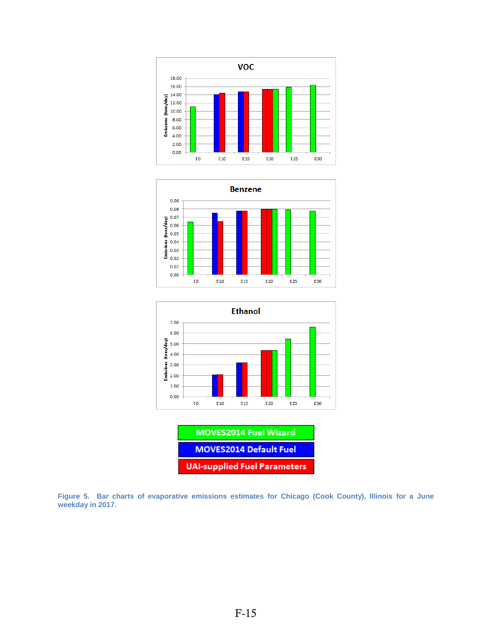







**UAI-supplied Fuel Parameters**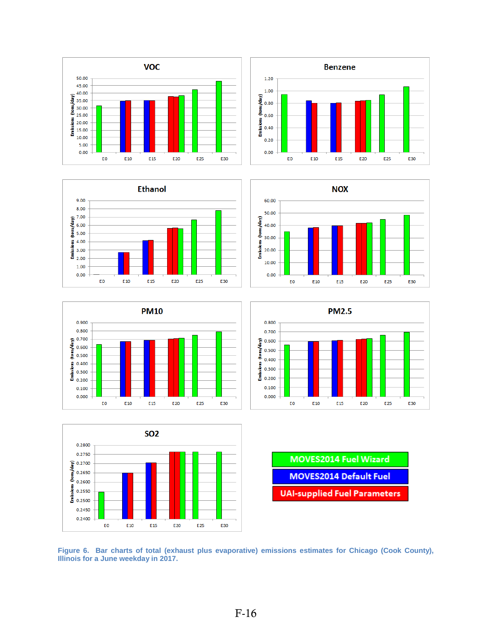















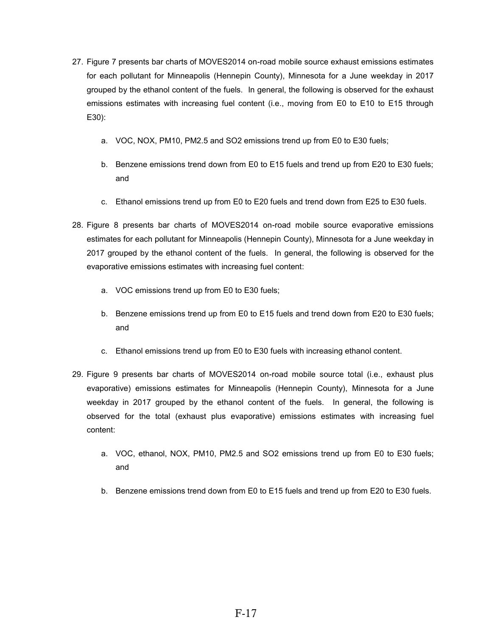- 27. Figure 7 presents bar charts of MOVES2014 on-road mobile source exhaust emissions estimates for each pollutant for Minneapolis (Hennepin County), Minnesota for a June weekday in 2017 grouped by the ethanol content of the fuels. In general, the following is observed for the exhaust emissions estimates with increasing fuel content (i.e., moving from E0 to E10 to E15 through E30):
	- a. VOC, NOX, PM10, PM2.5 and SO2 emissions trend up from E0 to E30 fuels;
	- b. Benzene emissions trend down from E0 to E15 fuels and trend up from E20 to E30 fuels; and
	- c. Ethanol emissions trend up from E0 to E20 fuels and trend down from E25 to E30 fuels.
- 28. Figure 8 presents bar charts of MOVES2014 on-road mobile source evaporative emissions estimates for each pollutant for Minneapolis (Hennepin County), Minnesota for a June weekday in 2017 grouped by the ethanol content of the fuels. In general, the following is observed for the evaporative emissions estimates with increasing fuel content:
	- a. VOC emissions trend up from E0 to E30 fuels;
	- b. Benzene emissions trend up from E0 to E15 fuels and trend down from E20 to E30 fuels; and
	- c. Ethanol emissions trend up from E0 to E30 fuels with increasing ethanol content.
- 29. Figure 9 presents bar charts of MOVES2014 on-road mobile source total (i.e., exhaust plus evaporative) emissions estimates for Minneapolis (Hennepin County), Minnesota for a June weekday in 2017 grouped by the ethanol content of the fuels. In general, the following is observed for the total (exhaust plus evaporative) emissions estimates with increasing fuel content:
	- a. VOC, ethanol, NOX, PM10, PM2.5 and SO2 emissions trend up from E0 to E30 fuels; and
	- b. Benzene emissions trend down from E0 to E15 fuels and trend up from E20 to E30 fuels.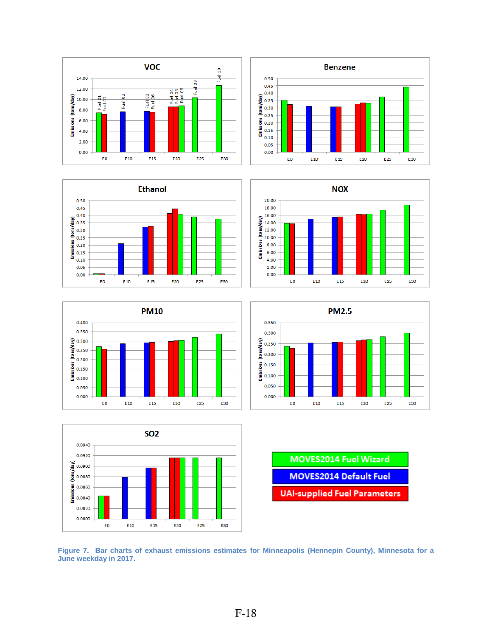















**Figure 7. Bar charts of exhaust emissions estimates for Minneapolis (Hennepin County), Minnesota for a June weekday in 2017.**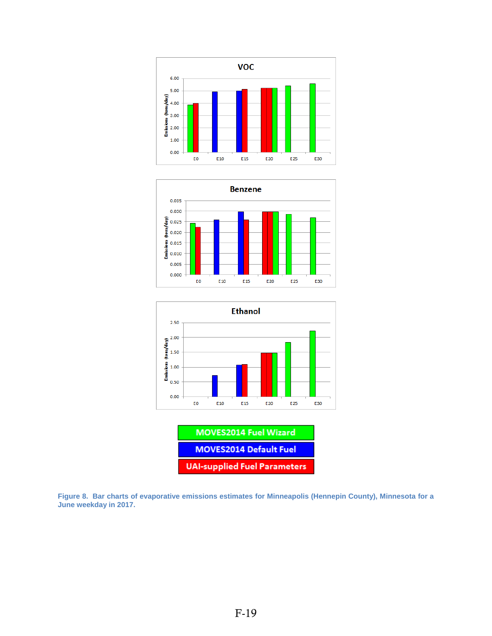







**Figure 8. Bar charts of evaporative emissions estimates for Minneapolis (Hennepin County), Minnesota for a June weekday in 2017.**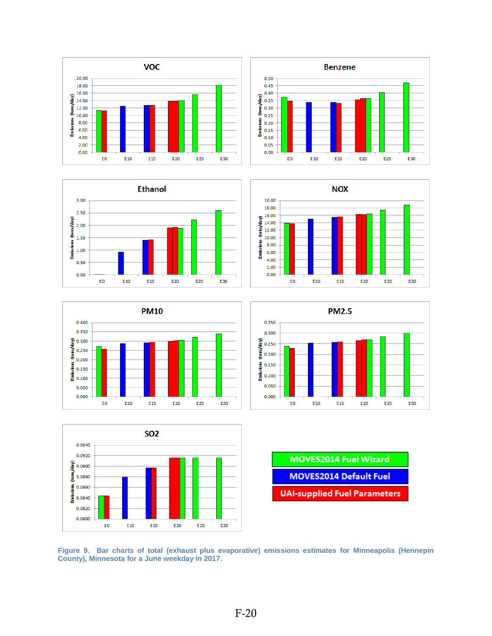













| <b>MOVES2014 Fuel Wizard</b>        |
|-------------------------------------|
| <b>MOVES2014 Default Fuel</b>       |
| <b>UAI-supplied Fuel Parameters</b> |

**Figure 9. Bar charts of total (exhaust plus evaporative) emissions estimates for Minneapolis (Hennepin County), Minnesota for a June weekday in 2017.**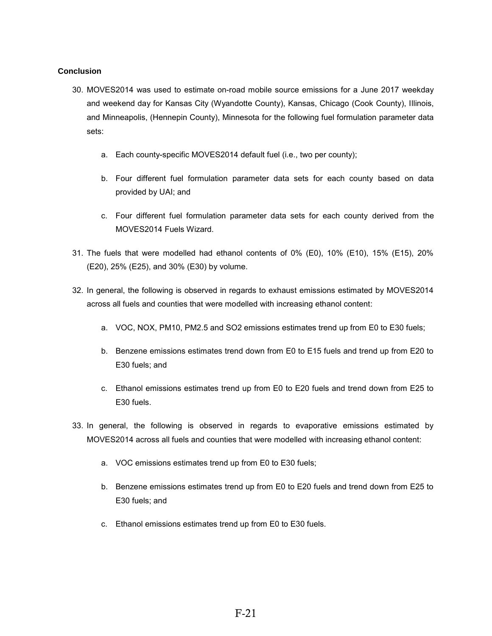#### **Conclusion**

- 30. MOVES2014 was used to estimate on-road mobile source emissions for a June 2017 weekday and weekend day for Kansas City (Wyandotte County), Kansas, Chicago (Cook County), Illinois, and Minneapolis, (Hennepin County), Minnesota for the following fuel formulation parameter data sets:
	- a. Each county-specific MOVES2014 default fuel (i.e., two per county);
	- b. Four different fuel formulation parameter data sets for each county based on data provided by UAI; and
	- c. Four different fuel formulation parameter data sets for each county derived from the MOVES2014 Fuels Wizard.
- 31. The fuels that were modelled had ethanol contents of 0% (E0), 10% (E10), 15% (E15), 20% (E20), 25% (E25), and 30% (E30) by volume.
- 32. In general, the following is observed in regards to exhaust emissions estimated by MOVES2014 across all fuels and counties that were modelled with increasing ethanol content:
	- a. VOC, NOX, PM10, PM2.5 and SO2 emissions estimates trend up from E0 to E30 fuels;
	- b. Benzene emissions estimates trend down from E0 to E15 fuels and trend up from E20 to E30 fuels; and
	- c. Ethanol emissions estimates trend up from E0 to E20 fuels and trend down from E25 to E30 fuels.
- 33. In general, the following is observed in regards to evaporative emissions estimated by MOVES2014 across all fuels and counties that were modelled with increasing ethanol content:
	- a. VOC emissions estimates trend up from E0 to E30 fuels;
	- b. Benzene emissions estimates trend up from E0 to E20 fuels and trend down from E25 to E30 fuels; and
	- c. Ethanol emissions estimates trend up from E0 to E30 fuels.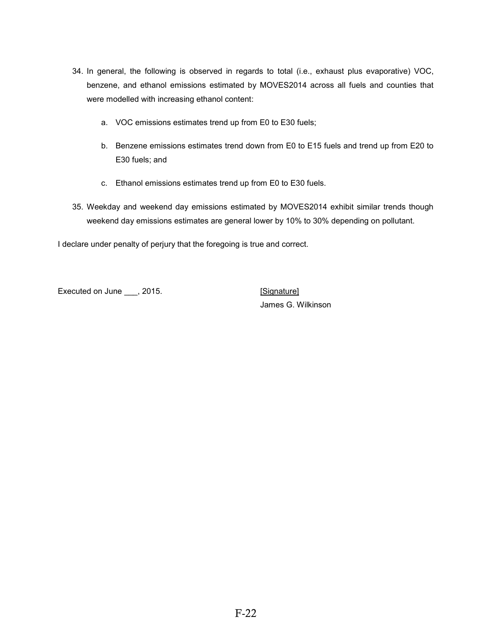- 34. In general, the following is observed in regards to total (i.e., exhaust plus evaporative) VOC, benzene, and ethanol emissions estimated by MOVES2014 across all fuels and counties that were modelled with increasing ethanol content:
	- a. VOC emissions estimates trend up from E0 to E30 fuels;
	- b. Benzene emissions estimates trend down from E0 to E15 fuels and trend up from E20 to E30 fuels; and
	- c. Ethanol emissions estimates trend up from E0 to E30 fuels.
- 35. Weekday and weekend day emissions estimated by MOVES2014 exhibit similar trends though weekend day emissions estimates are general lower by 10% to 30% depending on pollutant.

I declare under penalty of perjury that the foregoing is true and correct.

Executed on June \_\_\_, 2015. The security of the security of the security of the security of the security of the security of the security of the security of the security of the security of the security of the security of th

James G. Wilkinson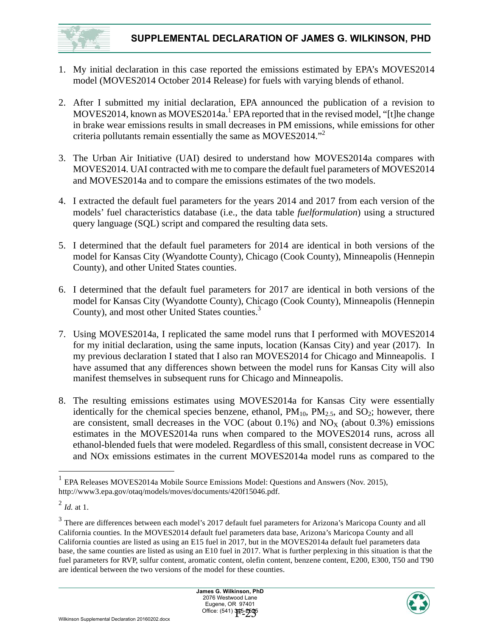<span id="page-24-0"></span>

- 1. My initial declaration in this case reported the emissions estimated by EPA's MOVES2014 model (MOVES2014 October 2014 Release) for fuels with varying blends of ethanol.
- 2. After I submitted my initial declaration, EPA announced the publication of a revision to MOVES2014, known as MOVES2014a.<sup>1</sup> EPA reported that in the revised model, "[t]he change in brake wear emissions results in small decreases in PM emissions, while emissions for other criteria pollutants remain essentially the same as MOVES2014."2
- 3. The Urban Air Initiative (UAI) desired to understand how MOVES2014a compares with MOVES2014. UAI contracted with me to compare the default fuel parameters of MOVES2014 and MOVES2014a and to compare the emissions estimates of the two models.
- 4. I extracted the default fuel parameters for the years 2014 and 2017 from each version of the models' fuel characteristics database (i.e., the data table *fuelformulation*) using a structured query language (SQL) script and compared the resulting data sets.
- 5. I determined that the default fuel parameters for 2014 are identical in both versions of the model for Kansas City (Wyandotte County), Chicago (Cook County), Minneapolis (Hennepin County), and other United States counties.
- 6. I determined that the default fuel parameters for 2017 are identical in both versions of the model for Kansas City (Wyandotte County), Chicago (Cook County), Minneapolis (Hennepin County), and most other United States counties.<sup>3</sup>
- 7. Using MOVES2014a, I replicated the same model runs that I performed with MOVES2014 for my initial declaration, using the same inputs, location (Kansas City) and year (2017). In my previous declaration I stated that I also ran MOVES2014 for Chicago and Minneapolis. I have assumed that any differences shown between the model runs for Kansas City will also manifest themselves in subsequent runs for Chicago and Minneapolis.
- 8. The resulting emissions estimates using MOVES2014a for Kansas City were essentially identically for the chemical species benzene, ethanol,  $PM_{10}$ ,  $PM_{2.5}$ , and  $SO_2$ ; however, there are consistent, small decreases in the VOC (about  $0.1\%$ ) and NO<sub>X</sub> (about  $0.3\%$ ) emissions estimates in the MOVES2014a runs when compared to the MOVES2014 runs, across all ethanol-blended fuels that were modeled. Regardless of this small, consistent decrease in VOC and NOx emissions estimates in the current MOVES2014a model runs as compared to the



<sup>1</sup> EPA Releases MOVES2014a Mobile Source Emissions Model: Questions and Answers (Nov. 2015), http://www3.epa.gov/otaq/models/moves/documents/420f15046.pdf.  $\,1$ 

<sup>2</sup> *Id.* at 1.

<sup>&</sup>lt;sup>3</sup> There are differences between each model's 2017 default fuel parameters for Arizona's Maricopa County and all California counties. In the MOVES2014 default fuel parameters data base, Arizona's Maricopa County and all California counties are listed as using an E15 fuel in 2017, but in the MOVES2014a default fuel parameters data base, the same counties are listed as using an E10 fuel in 2017. What is further perplexing in this situation is that the fuel parameters for RVP, sulfur content, aromatic content, olefin content, benzene content, E200, E300, T50 and T90 are identical between the two versions of the model for these counties.